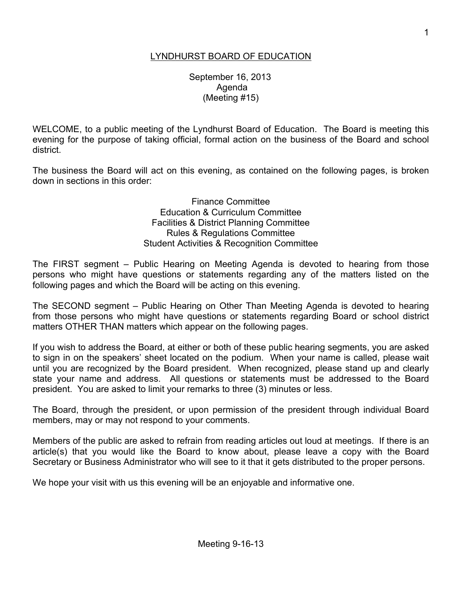# LYNDHURST BOARD OF EDUCATION

 September 16, 2013 Agenda (Meeting #15)

WELCOME, to a public meeting of the Lyndhurst Board of Education. The Board is meeting this evening for the purpose of taking official, formal action on the business of the Board and school district.

The business the Board will act on this evening, as contained on the following pages, is broken down in sections in this order:

> Finance Committee Education & Curriculum Committee Facilities & District Planning Committee Rules & Regulations Committee Student Activities & Recognition Committee

The FIRST segment – Public Hearing on Meeting Agenda is devoted to hearing from those persons who might have questions or statements regarding any of the matters listed on the following pages and which the Board will be acting on this evening.

The SECOND segment – Public Hearing on Other Than Meeting Agenda is devoted to hearing from those persons who might have questions or statements regarding Board or school district matters OTHER THAN matters which appear on the following pages.

If you wish to address the Board, at either or both of these public hearing segments, you are asked to sign in on the speakers' sheet located on the podium. When your name is called, please wait until you are recognized by the Board president. When recognized, please stand up and clearly state your name and address. All questions or statements must be addressed to the Board president. You are asked to limit your remarks to three (3) minutes or less.

The Board, through the president, or upon permission of the president through individual Board members, may or may not respond to your comments.

Members of the public are asked to refrain from reading articles out loud at meetings. If there is an article(s) that you would like the Board to know about, please leave a copy with the Board Secretary or Business Administrator who will see to it that it gets distributed to the proper persons.

We hope your visit with us this evening will be an enjoyable and informative one.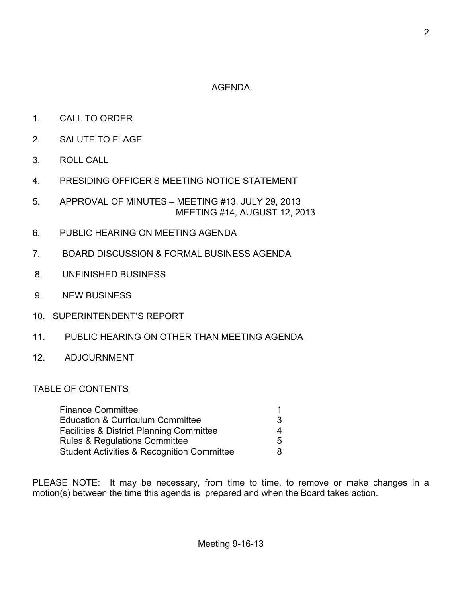# AGENDA

- 1. CALL TO ORDER
- 2. SALUTE TO FLAGE
- 3. ROLL CALL
- 4. PRESIDING OFFICER'S MEETING NOTICE STATEMENT
- 5. APPROVAL OF MINUTES MEETING #13, JULY 29, 2013 MEETING #14, AUGUST 12, 2013
- 6. PUBLIC HEARING ON MEETING AGENDA
- 7. BOARD DISCUSSION & FORMAL BUSINESS AGENDA
- 8. UNFINISHED BUSINESS
- 9. NEW BUSINESS
- 10. SUPERINTENDENT'S REPORT
- 11. PUBLIC HEARING ON OTHER THAN MEETING AGENDA
- 12. ADJOURNMENT

#### TABLE OF CONTENTS

| <b>Finance Committee</b>                              |   |
|-------------------------------------------------------|---|
| <b>Education &amp; Curriculum Committee</b>           | 3 |
| <b>Facilities &amp; District Planning Committee</b>   | 4 |
| <b>Rules &amp; Regulations Committee</b>              | 5 |
| <b>Student Activities &amp; Recognition Committee</b> | 8 |

PLEASE NOTE: It may be necessary, from time to time, to remove or make changes in a motion(s) between the time this agenda is prepared and when the Board takes action.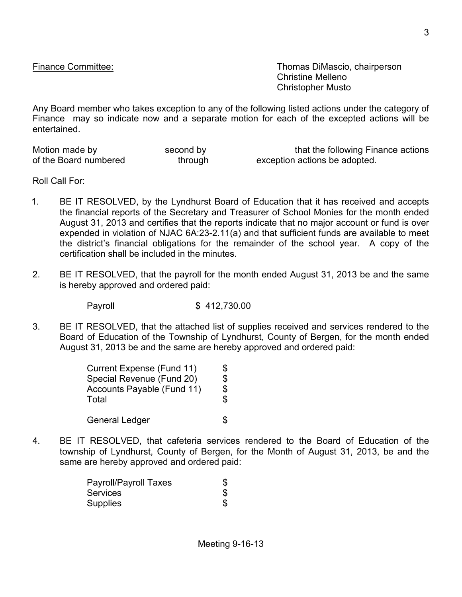Finance Committee: Thomas DiMascio, chairperson Christine Melleno Christopher Musto

Any Board member who takes exception to any of the following listed actions under the category of Finance may so indicate now and a separate motion for each of the excepted actions will be entertained.

Motion made by second by that the following Finance actions of the Board numbered through exception actions be adopted.

Roll Call For:

- 1. BE IT RESOLVED, by the Lyndhurst Board of Education that it has received and accepts the financial reports of the Secretary and Treasurer of School Monies for the month ended August 31, 2013 and certifies that the reports indicate that no major account or fund is over expended in violation of NJAC 6A:23-2.11(a) and that sufficient funds are available to meet the district's financial obligations for the remainder of the school year. A copy of the certification shall be included in the minutes.
- 2. BE IT RESOLVED, that the payroll for the month ended August 31, 2013 be and the same is hereby approved and ordered paid:

Payroll \$ 412,730.00

3. BE IT RESOLVED, that the attached list of supplies received and services rendered to the Board of Education of the Township of Lyndhurst, County of Bergen, for the month ended August 31, 2013 be and the same are hereby approved and ordered paid:

| Current Expense (Fund 11)           | \$       |
|-------------------------------------|----------|
| Special Revenue (Fund 20)           | \$       |
| Accounts Payable (Fund 11)<br>Total | \$<br>\$ |
| <b>General Ledger</b>               |          |

4. BE IT RESOLVED, that cafeteria services rendered to the Board of Education of the township of Lyndhurst, County of Bergen, for the Month of August 31, 2013, be and the same are hereby approved and ordered paid:

| Payroll/Payroll Taxes | S |
|-----------------------|---|
| <b>Services</b>       |   |
| <b>Supplies</b>       |   |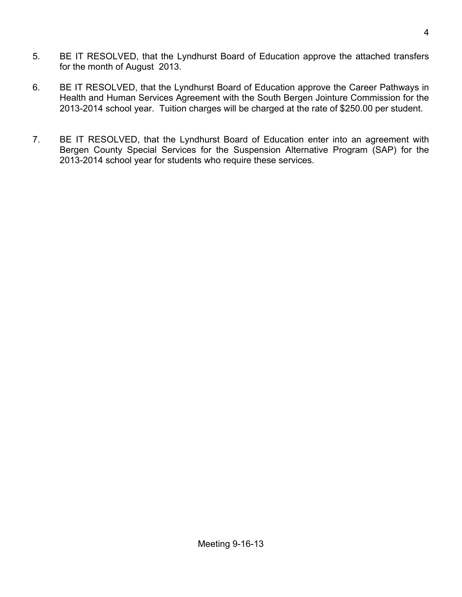- 5. BE IT RESOLVED, that the Lyndhurst Board of Education approve the attached transfers for the month of August 2013.
- 6. BE IT RESOLVED, that the Lyndhurst Board of Education approve the Career Pathways in Health and Human Services Agreement with the South Bergen Jointure Commission for the 2013-2014 school year. Tuition charges will be charged at the rate of \$250.00 per student.
- 7. BE IT RESOLVED, that the Lyndhurst Board of Education enter into an agreement with Bergen County Special Services for the Suspension Alternative Program (SAP) for the 2013-2014 school year for students who require these services.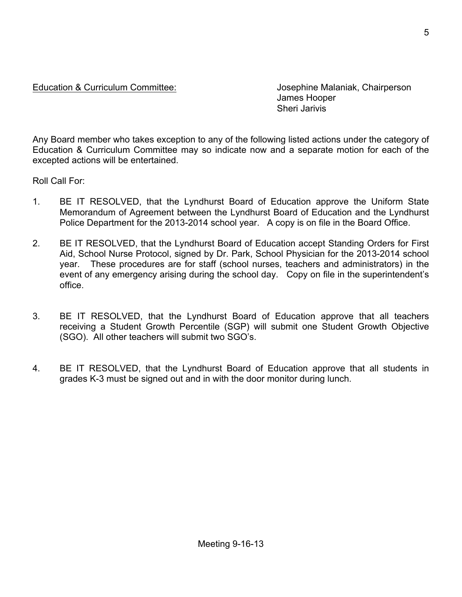### Education & Curriculum Committee: Josephine Malaniak, Chairperson

James Hooper Sheri Jarivis

Any Board member who takes exception to any of the following listed actions under the category of Education & Curriculum Committee may so indicate now and a separate motion for each of the excepted actions will be entertained.

Roll Call For:

- 1. BE IT RESOLVED, that the Lyndhurst Board of Education approve the Uniform State Memorandum of Agreement between the Lyndhurst Board of Education and the Lyndhurst Police Department for the 2013-2014 school year. A copy is on file in the Board Office.
- 2. BE IT RESOLVED, that the Lyndhurst Board of Education accept Standing Orders for First Aid, School Nurse Protocol, signed by Dr. Park, School Physician for the 2013-2014 school year. These procedures are for staff (school nurses, teachers and administrators) in the event of any emergency arising during the school day. Copy on file in the superintendent's office.
- 3. BE IT RESOLVED, that the Lyndhurst Board of Education approve that all teachers receiving a Student Growth Percentile (SGP) will submit one Student Growth Objective (SGO). All other teachers will submit two SGO's.
- 4. BE IT RESOLVED, that the Lyndhurst Board of Education approve that all students in grades K-3 must be signed out and in with the door monitor during lunch.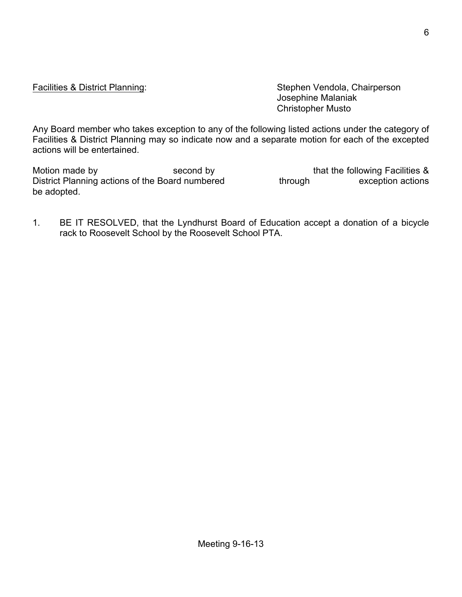Facilities & District Planning: Stephen Vendola, Chairperson Josephine Malaniak Christopher Musto

Any Board member who takes exception to any of the following listed actions under the category of Facilities & District Planning may so indicate now and a separate motion for each of the excepted actions will be entertained.

Motion made by Second by second by that the following Facilities & District Planning actions of the Board numbered through exception actions be adopted.

1. BE IT RESOLVED, that the Lyndhurst Board of Education accept a donation of a bicycle rack to Roosevelt School by the Roosevelt School PTA.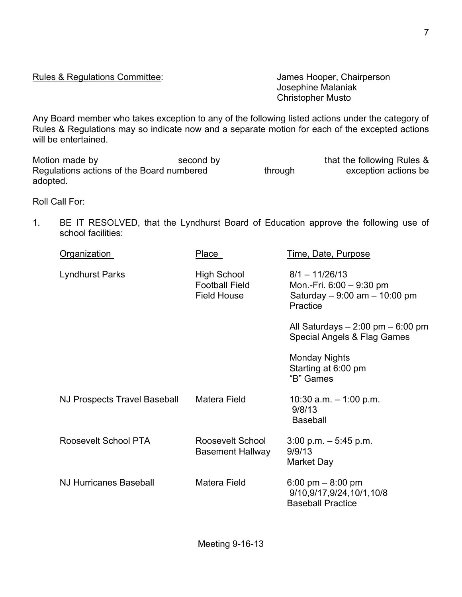Rules & Regulations Committee: Values And States Hooper, Chairperson

Josephine Malaniak Christopher Musto

Any Board member who takes exception to any of the following listed actions under the category of Rules & Regulations may so indicate now and a separate motion for each of the excepted actions will be entertained.

Motion made by second by second by that the following Rules & Regulations actions of the Board numbered through exception actions be adopted.

Roll Call For:

1. BE IT RESOLVED, that the Lyndhurst Board of Education approve the following use of school facilities:

| Organization                  | Place                                                             | Time, Date, Purpose                                                                         |
|-------------------------------|-------------------------------------------------------------------|---------------------------------------------------------------------------------------------|
| Lyndhurst Parks               | <b>High School</b><br><b>Football Field</b><br><b>Field House</b> | $8/1 - 11/26/13$<br>Mon.-Fri. 6:00 - 9:30 pm<br>Saturday $-9.00$ am $-10.00$ pm<br>Practice |
|                               |                                                                   | All Saturdays $-2:00$ pm $-6:00$ pm<br>Special Angels & Flag Games                          |
|                               |                                                                   | <b>Monday Nights</b><br>Starting at 6:00 pm<br>"B" Games                                    |
| NJ Prospects Travel Baseball  | Matera Field                                                      | 10:30 $a.m. - 1:00 p.m.$<br>9/8/13<br><b>Baseball</b>                                       |
| Roosevelt School PTA          | Roosevelt School<br><b>Basement Hallway</b>                       | $3:00$ p.m. $-5:45$ p.m.<br>9/9/13<br><b>Market Day</b>                                     |
| <b>NJ Hurricanes Baseball</b> | Matera Field                                                      | 6:00 pm $-$ 8:00 pm<br>9/10,9/17,9/24,10/1,10/8<br><b>Baseball Practice</b>                 |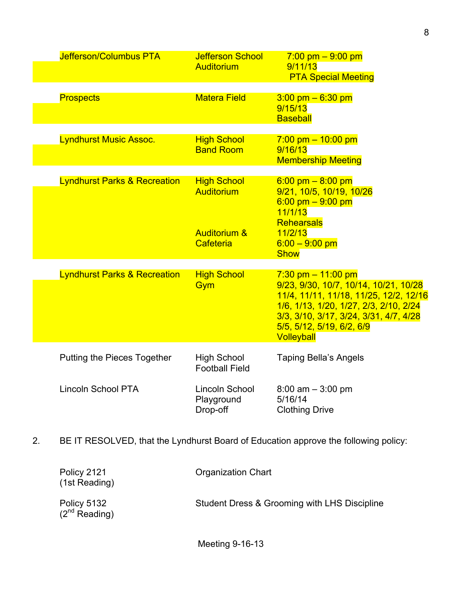| Jefferson/Columbus PTA                  | <b>Jefferson School</b><br><b>Auditorium</b>                             | $7:00$ pm $-9:00$ pm<br>9/11/13<br><b>PTA Special Meeting</b>                                                                                                                                                                                  |
|-----------------------------------------|--------------------------------------------------------------------------|------------------------------------------------------------------------------------------------------------------------------------------------------------------------------------------------------------------------------------------------|
| <b>Prospects</b>                        | <b>Matera Field</b>                                                      | $3.00$ pm $-6.30$ pm<br>9/15/13<br><b>Baseball</b>                                                                                                                                                                                             |
| <b>Lyndhurst Music Assoc.</b>           | <b>High School</b><br><b>Band Room</b>                                   | $7:00$ pm $-10:00$ pm<br>9/16/13<br><b>Membership Meeting</b>                                                                                                                                                                                  |
| <b>Lyndhurst Parks &amp; Recreation</b> | <b>High School</b><br>Auditorium<br><b>Auditorium &amp;</b><br>Cafeteria | $6:00 \text{ pm} - 8:00 \text{ pm}$<br>9/21, 10/5, 10/19, 10/26<br>$6:00 \text{ pm} - 9:00 \text{ pm}$<br>11/1/13<br><b>Rehearsals</b><br>11/2/13<br>$6.00 - 9.00$ pm<br><b>Show</b>                                                           |
| <b>Lyndhurst Parks &amp; Recreation</b> | <b>High School</b><br>Gym                                                | $7:30$ pm $-11:00$ pm<br>9/23, 9/30, 10/7, 10/14, 10/21, 10/28<br>11/4, 11/11, 11/18, 11/25, 12/2, 12/16<br>1/6, 1/13, 1/20, 1/27, 2/3, 2/10, 2/24<br>3/3, 3/10, 3/17, 3/24, 3/31, 4/7, 4/28<br>5/5, 5/12, 5/19, 6/2, 6/9<br><b>Volleyball</b> |
| Putting the Pieces Together             | <b>High School</b><br><b>Football Field</b>                              | <b>Taping Bella's Angels</b>                                                                                                                                                                                                                   |
| <b>Lincoln School PTA</b>               | Lincoln School<br>Playground<br>Drop-off                                 | $8:00$ am $-3:00$ pm<br>5/16/14<br><b>Clothing Drive</b>                                                                                                                                                                                       |

2. BE IT RESOLVED, that the Lyndhurst Board of Education approve the following policy:

| Policy 2121<br>(1st Reading)      | <b>Organization Chart</b>                    |
|-----------------------------------|----------------------------------------------|
| Policy 5132<br>$(2^{nd}$ Reading) | Student Dress & Grooming with LHS Discipline |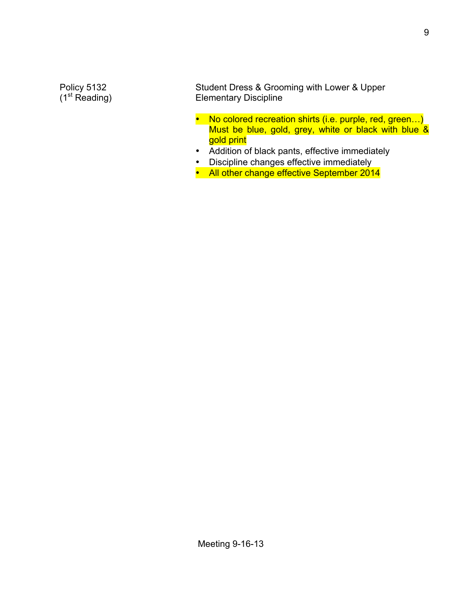Policy 5132 Student Dress & Grooming with Lower & Upper<br>
(1<sup>st</sup> Reading) Elementary Discipline **Elementary Discipline** 

- No colored recreation shirts (i.e. purple, red, green...) Must be blue, gold, grey, white or black with blue & gold print
- Addition of black pants, effective immediately
- Discipline changes effective immediately
- All other change effective September 2014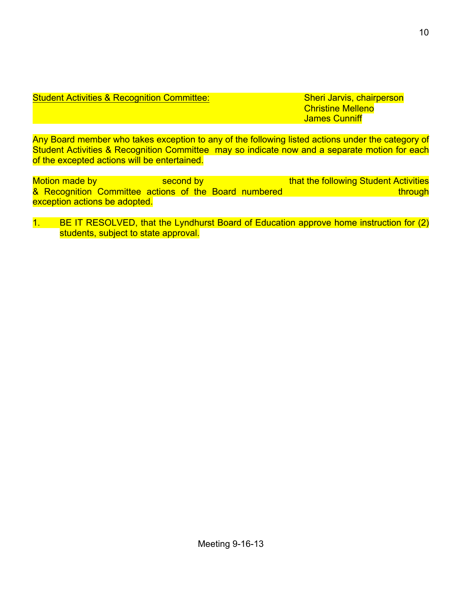# Student Activities & Recognition Committee: Sheri Jarvis, chairperson

Christine Melleno James Cunniff

Any Board member who takes exception to any of the following listed actions under the category of Student Activities & Recognition Committee may so indicate now and a separate motion for each of the excepted actions will be entertained.

Motion made by second by second by that the following Student Activities & Recognition Committee actions of the Board numbered through through exception actions be adopted.

1. BE IT RESOLVED, that the Lyndhurst Board of Education approve home instruction for (2) students, subject to state approval.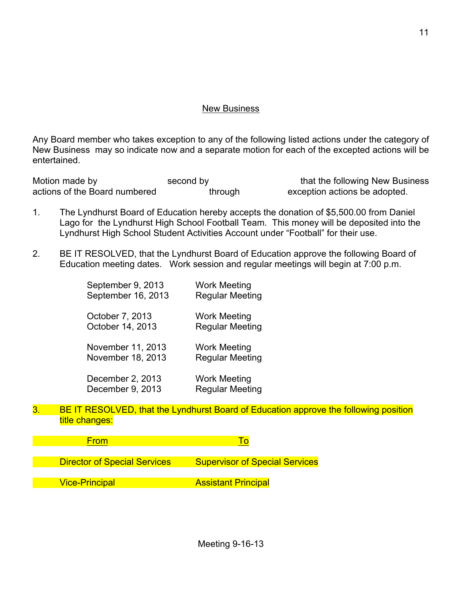#### New Business

Any Board member who takes exception to any of the following listed actions under the category of New Business may so indicate now and a separate motion for each of the excepted actions will be entertained.

Motion made by second by second by that the following New Business actions of the Board numbered through exception actions be adopted.

- 1. The Lyndhurst Board of Education hereby accepts the donation of \$5,500.00 from Daniel Lago for the Lyndhurst High School Football Team. This money will be deposited into the Lyndhurst High School Student Activities Account under "Football" for their use.
- 2. BE IT RESOLVED, that the Lyndhurst Board of Education approve the following Board of Education meeting dates. Work session and regular meetings will begin at 7:00 p.m.

| September 9, 2013  | <b>Work Meeting</b>    |
|--------------------|------------------------|
| September 16, 2013 | <b>Regular Meeting</b> |
| October 7, 2013    | Work Meeting           |
| October 14, 2013   | <b>Regular Meeting</b> |
| November 11, 2013  | Work Meeting           |
| November 18, 2013  | <b>Regular Meeting</b> |
| December 2, 2013   | Work Meeting           |
| December 9, 2013   | <b>Regular Meeting</b> |

3. BE IT RESOLVED, that the Lyndhurst Board of Education approve the following position title changes:

**From To The Contract of To To To To** 

Director of Special Services Supervisor of Special Services

**Vice-Principal Assistant Principal**